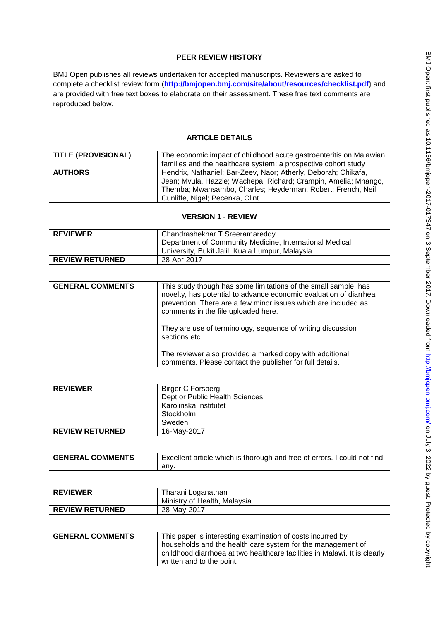## **PEER REVIEW HISTORY**

BMJ Open publishes all reviews undertaken for accepted manuscripts. Reviewers are asked to complete a checklist review form (**[http://bmjopen.bmj.com/site/about/resources/checklist.pdf\)](http://bmjopen.bmj.com/site/about/resources/checklist.pdf)** and are provided with free text boxes to elaborate on their assessment. These free text comments are reproduced below.

## **ARTICLE DETAILS**

| <b>TITLE (PROVISIONAL)</b> | The economic impact of childhood acute gastroenteritis on Malawian<br>families and the healthcare system: a prospective cohort study                                                                                                 |
|----------------------------|--------------------------------------------------------------------------------------------------------------------------------------------------------------------------------------------------------------------------------------|
| <b>AUTHORS</b>             | Hendrix, Nathaniel; Bar-Zeev, Naor; Atherly, Deborah; Chikafa,<br>Jean; Mvula, Hazzie; Wachepa, Richard; Crampin, Amelia; Mhango,<br>Themba; Mwansambo, Charles; Heyderman, Robert; French, Neil;<br>Cunliffe, Nigel; Pecenka, Clint |

#### **VERSION 1 - REVIEW**

| <b>REVIEWER</b>        | Chandrashekhar T Sreeramareddy                          |
|------------------------|---------------------------------------------------------|
|                        | Department of Community Medicine, International Medical |
|                        | University, Bukit Jalil, Kuala Lumpur, Malaysia         |
| <b>REVIEW RETURNED</b> | 28-Apr-2017                                             |

| <b>GENERAL COMMENTS</b> | This study though has some limitations of the small sample, has<br>novelty, has potential to advance economic evaluation of diarrhea<br>prevention. There are a few minor issues which are included as<br>comments in the file uploaded here.<br>They are use of terminology, sequence of writing discussion<br>sections etc |
|-------------------------|------------------------------------------------------------------------------------------------------------------------------------------------------------------------------------------------------------------------------------------------------------------------------------------------------------------------------|
|                         | The reviewer also provided a marked copy with additional<br>comments. Please contact the publisher for full details.                                                                                                                                                                                                         |

| <b>REVIEWER</b>        | <b>Birger C Forsberg</b><br>Dept or Public Health Sciences<br>Karolinska Institutet<br>Stockholm |
|------------------------|--------------------------------------------------------------------------------------------------|
|                        | Sweden                                                                                           |
| <b>REVIEW RETURNED</b> | 16-May-2017                                                                                      |

| <b>GENERAL COMMENTS</b> | Excellent article which is thorough and free of errors. I could not find |
|-------------------------|--------------------------------------------------------------------------|
|                         | anv.                                                                     |

| <b>REVIEWER</b>        | Tharani Loganathan           |
|------------------------|------------------------------|
|                        | Ministry of Health, Malaysia |
| <b>REVIEW RETURNED</b> | 28-May-2017                  |

| <b>GENERAL COMMENTS</b> | This paper is interesting examination of costs incurred by                |
|-------------------------|---------------------------------------------------------------------------|
|                         | households and the health care system for the management of               |
|                         | childhood diarrhoea at two healthcare facilities in Malawi. It is clearly |
|                         | written and to the point.                                                 |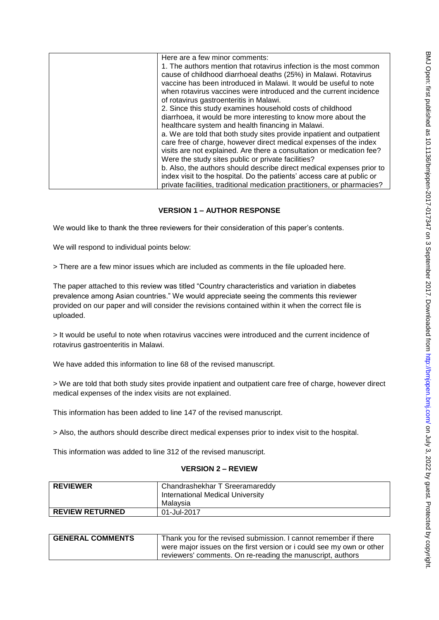| Here are a few minor comments:                                           |
|--------------------------------------------------------------------------|
| 1. The authors mention that rotavirus infection is the most common       |
| cause of childhood diarrhoeal deaths (25%) in Malawi. Rotavirus          |
| vaccine has been introduced in Malawi. It would be useful to note        |
| when rotavirus vaccines were introduced and the current incidence        |
| of rotavirus gastroenteritis in Malawi.                                  |
| 2. Since this study examines household costs of childhood                |
| diarrhoea, it would be more interesting to know more about the           |
| healthcare system and health financing in Malawi.                        |
| a. We are told that both study sites provide inpatient and outpatient    |
| care free of charge, however direct medical expenses of the index        |
| visits are not explained. Are there a consultation or medication fee?    |
| Were the study sites public or private facilities?                       |
| b. Also, the authors should describe direct medical expenses prior to    |
| index visit to the hospital. Do the patients' access care at public or   |
| private facilities, traditional medication practitioners, or pharmacies? |
|                                                                          |

# **VERSION 1 – AUTHOR RESPONSE**

We would like to thank the three reviewers for their consideration of this paper's contents.

We will respond to individual points below:

> There are a few minor issues which are included as comments in the file uploaded here.

The paper attached to this review was titled "Country characteristics and variation in diabetes prevalence among Asian countries." We would appreciate seeing the comments this reviewer provided on our paper and will consider the revisions contained within it when the correct file is uploaded.

> It would be useful to note when rotavirus vaccines were introduced and the current incidence of rotavirus gastroenteritis in Malawi.

We have added this information to line 68 of the revised manuscript.

> We are told that both study sites provide inpatient and outpatient care free of charge, however direct medical expenses of the index visits are not explained.

This information has been added to line 147 of the revised manuscript.

> Also, the authors should describe direct medical expenses prior to index visit to the hospital.

This information was added to line 312 of the revised manuscript.

#### **VERSION 2 – REVIEW**

| <b>REVIEWER</b>        | Chandrashekhar T Sreeramareddy<br><b>International Medical University</b><br>Malavsia |
|------------------------|---------------------------------------------------------------------------------------|
| <b>REVIEW RETURNED</b> | 01-Jul-2017                                                                           |

| <b>GENERAL COMMENTS</b> | Thank you for the revised submission. I cannot remember if there<br>were major issues on the first version or i could see my own or other |
|-------------------------|-------------------------------------------------------------------------------------------------------------------------------------------|
|                         | reviewers' comments. On re-reading the manuscript, authors                                                                                |